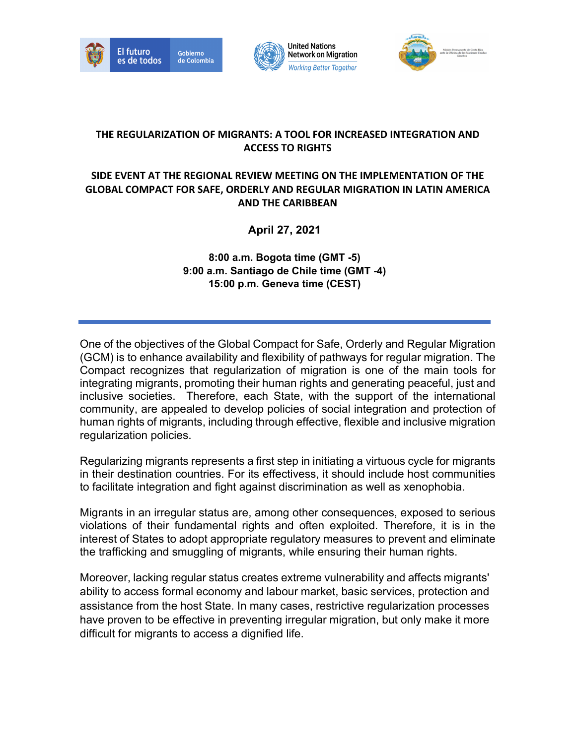





#### **THE REGULARIZATION OF MIGRANTS: A TOOL FOR INCREASED INTEGRATION AND ACCESS TO RIGHTS**

**United Nations** 

#### **SIDE EVENT AT THE REGIONAL REVIEW MEETING ON THE IMPLEMENTATION OF THE GLOBAL COMPACT FOR SAFE, ORDERLY AND REGULAR MIGRATION IN LATIN AMERICA AND THE CARIBBEAN**

**April 27, 2021**

**8:00 a.m. Bogota time (GMT -5) 9:00 a.m. Santiago de Chile time (GMT -4) 15:00 p.m. Geneva time (CEST)**

One of the objectives of the Global Compact for Safe, Orderly and Regular Migration (GCM) is to enhance availability and flexibility of pathways for regular migration. The Compact recognizes that regularization of migration is one of the main tools for integrating migrants, promoting their human rights and generating peaceful, just and inclusive societies. Therefore, each State, with the support of the international community, are appealed to develop policies of social integration and protection of human rights of migrants, including through effective, flexible and inclusive migration regularization policies.

Regularizing migrants represents a first step in initiating a virtuous cycle for migrants in their destination countries. For its effectivess, it should include host communities to facilitate integration and fight against discrimination as well as xenophobia.

Migrants in an irregular status are, among other consequences, exposed to serious violations of their fundamental rights and often exploited. Therefore, it is in the interest of States to adopt appropriate regulatory measures to prevent and eliminate the trafficking and smuggling of migrants, while ensuring their human rights.

Moreover, lacking regular status creates extreme vulnerability and affects migrants' ability to access formal economy and labour market, basic services, protection and assistance from the host State. In many cases, restrictive regularization processes have proven to be effective in preventing irregular migration, but only make it more difficult for migrants to access a dignified life.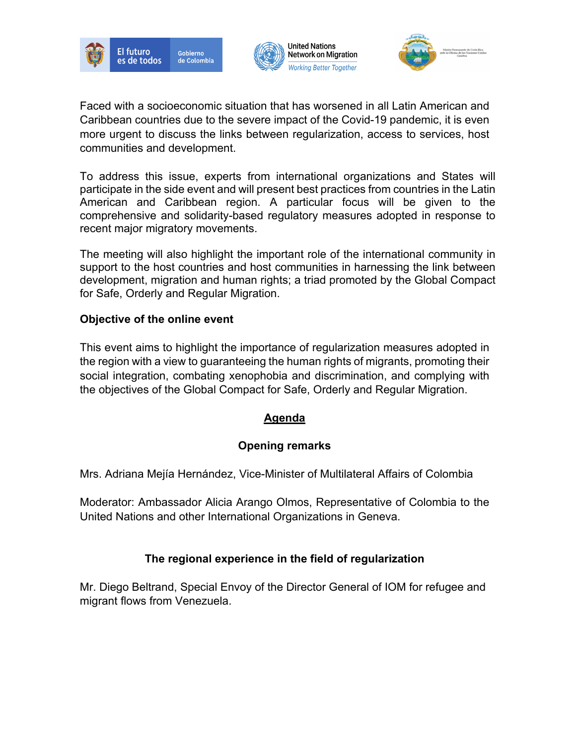





Faced with a socioeconomic situation that has worsened in all Latin American and Caribbean countries due to the severe impact of the Covid-19 pandemic, it is even more urgent to discuss the links between regularization, access to services, host communities and development.

**United Nations** 

**Network on Migration** 

**Working Better Together** 

To address this issue, experts from international organizations and States will participate in the side event and will present best practices from countries in the Latin American and Caribbean region. A particular focus will be given to the comprehensive and solidarity-based regulatory measures adopted in response to recent major migratory movements.

The meeting will also highlight the important role of the international community in support to the host countries and host communities in harnessing the link between development, migration and human rights; a triad promoted by the Global Compact for Safe, Orderly and Regular Migration.

#### **Objective of the online event**

This event aims to highlight the importance of regularization measures adopted in the region with a view to guaranteeing the human rights of migrants, promoting their social integration, combating xenophobia and discrimination, and complying with the objectives of the Global Compact for Safe, Orderly and Regular Migration.

#### **Agenda**

#### **Opening remarks**

Mrs. Adriana Mejía Hernández, Vice-Minister of Multilateral Affairs of Colombia

Moderator: Ambassador Alicia Arango Olmos, Representative of Colombia to the United Nations and other International Organizations in Geneva.

#### **The regional experience in the field of regularization**

Mr. Diego Beltrand, Special Envoy of the Director General of IOM for refugee and migrant flows from Venezuela.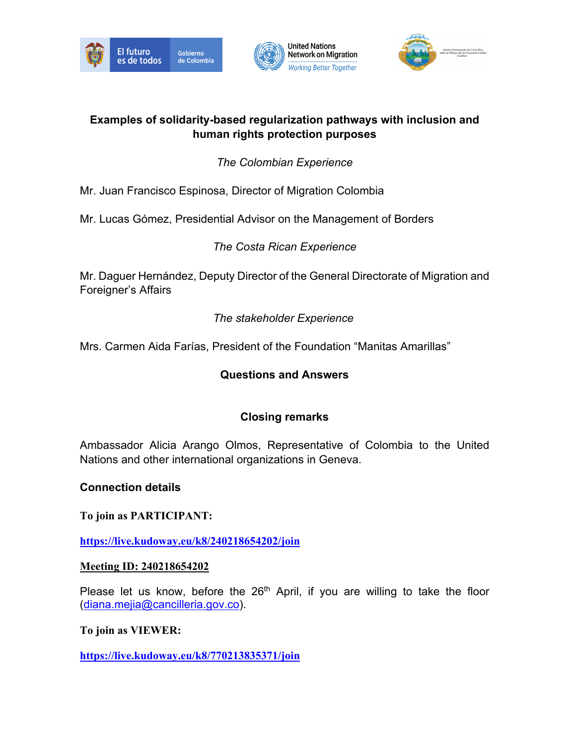







### **Examples of solidarity-based regularization pathways with inclusion and human rights protection purposes**

# *The Colombian Experience*

Mr. Juan Francisco Espinosa, Director of Migration Colombia

Mr. Lucas Gómez, Presidential Advisor on the Management of Borders

*The Costa Rican Experience*

Mr. Daguer Hernández, Deputy Director of the General Directorate of Migration and Foreigner's Affairs

*The stakeholder Experience* 

Mrs. Carmen Aida Farías, President of the Foundation "Manitas Amarillas"

# **Questions and Answers**

# **Closing remarks**

Ambassador Alicia Arango Olmos, Representative of Colombia to the United Nations and other international organizations in Geneva.

## **Connection details**

**To join as PARTICIPANT:** 

**https://live.kudoway.eu/k8/240218654202/join**

## **Meeting ID: 240218654202**

Please let us know, before the  $26<sup>th</sup>$  April, if you are willing to take the floor (diana.mejia@cancilleria.gov.co).

## **To join as VIEWER:**

**https://live.kudoway.eu/k8/770213835371/join**